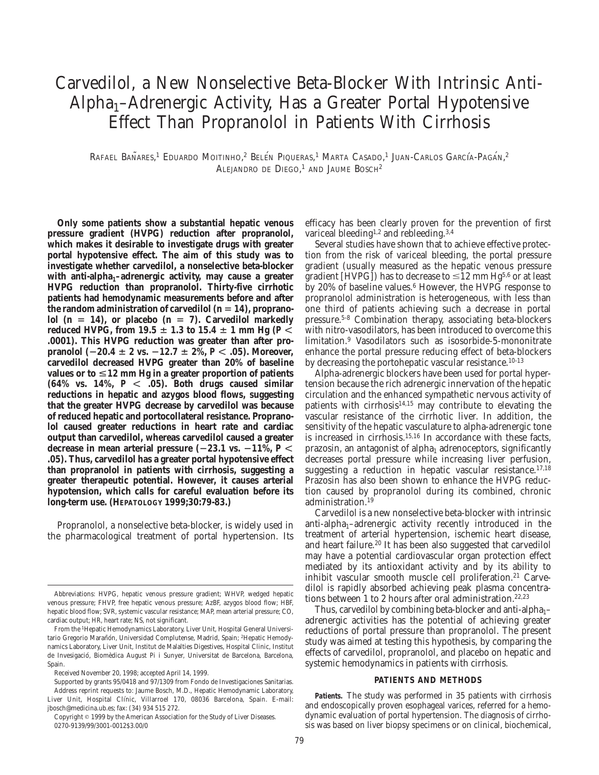# Carvedilol, a New Nonselective Beta-Blocker With Intrinsic Anti-Alpha<sub>1</sub>–Adrenergic Activity, Has a Greater Portal Hypotensive Effect Than Propranolol in Patients With Cirrhosis

Rafael Bañares,<sup>1</sup> Eduardo Moitinho,<sup>2</sup> Belén Piqueras,<sup>1</sup> Marta Casado,<sup>1</sup> Juan-Carlos García-Pagán,<sup>2</sup> ALEJANDRO DE DIEGO, <sup>1</sup> AND JAUME BOSCH2

**Only some patients show a substantial hepatic venous pressure gradient (HVPG) reduction after propranolol, which makes it desirable to investigate drugs with greater portal hypotensive effect. The aim of this study was to investigate whether carvedilol, a nonselective beta-blocker** with anti-alpha<sub>1</sub>-adrenergic activity, may cause a greater **HVPG reduction than propranolol. Thirty-five cirrhotic patients had hemodynamic measurements before and after**  $\frac{d}{dt}$  the random administration of carvedilol  $(n = 14)$ , propranolol  $(n = 14)$ , or placebo  $(n = 7)$ . Carvedilol markedly reduced HVPG, from 19.5  $\pm$  1.3 to 15.4  $\pm$  1 mm Hg (*P*  $\lt$ **.0001). This HVPG reduction was greater than after propranolol**  $(-20.4 \pm 2 \text{ vs. } -12.7 \pm 2\%, P < .05)$ . Moreover, **carvedilol decreased HVPG greater than 20% of baseline** values or to  $\leq 12$  mm Hg in a greater proportion of patients  $(64\%$  vs.  $14\%$ ,  $P < .05$ ). Both drugs caused similar **reductions in hepatic and azygos blood flows, suggesting that the greater HVPG decrease by carvedilol was because of reduced hepatic and portocollateral resistance. Propranolol caused greater reductions in heart rate and cardiac output than carvedilol, whereas carvedilol caused a greater** decrease in mean arterial pressure  $(-23.1 \text{ vs. } -11\%, P \le$ **.05). Thus, carvedilol has a greater portal hypotensive effect than propranolol in patients with cirrhosis, suggesting a greater therapeutic potential. However, it causes arterial hypotension, which calls for careful evaluation before its long-term use. (HEPATOLOGY 1999;30:79-83.)**

Propranolol, a nonselective beta-blocker, is widely used in the pharmacological treatment of portal hypertension. Its efficacy has been clearly proven for the prevention of first variceal bleeding<sup>1,2</sup> and rebleeding.<sup>3,4</sup>

Several studies have shown that to achieve effective protection from the risk of variceal bleeding, the portal pressure gradient (usually measured as the hepatic venous pressure gradient [HVPG]) has to decrease to  $\leq$ 12 mm Hg<sup>5,6</sup> or at least by 20% of baseline values.<sup>6</sup> However, the HVP $\tilde{G}$  response to propranolol administration is heterogeneous, with less than one third of patients achieving such a decrease in portal pressure.5-8 Combination therapy, associating beta-blockers with nitro-vasodilators, has been introduced to overcome this limitation.9 Vasodilators such as isosorbide-5-mononitrate enhance the portal pressure reducing effect of beta-blockers by decreasing the portohepatic vascular resistance.10-13

Alpha-adrenergic blockers have been used for portal hypertension because the rich adrenergic innervation of the hepatic circulation and the enhanced sympathetic nervous activity of patients with cirrhosis<sup>14,15</sup> may contribute to elevating the vascular resistance of the cirrhotic liver. In addition, the sensitivity of the hepatic vasculature to alpha-adrenergic tone is increased in cirrhosis.15,16 In accordance with these facts, prazosin, an antagonist of alpha<sub>1</sub> adrenoceptors, significantly decreases portal pressure while increasing liver perfusion, suggesting a reduction in hepatic vascular resistance.<sup>17,18</sup> Prazosin has also been shown to enhance the HVPG reduction caused by propranolol during its combined, chronic administration.<sup>19</sup>

Carvedilol is a new nonselective beta-blocker with intrinsic anti-alpha<sub>1</sub>–adrenergic activity recently introduced in the treatment of arterial hypertension, ischemic heart disease, and heart failure.20 It has been also suggested that carvedilol may have a potential cardiovascular organ protection effect mediated by its antioxidant activity and by its ability to inhibit vascular smooth muscle cell proliferation.<sup>21</sup> Carvedilol is rapidly absorbed achieving peak plasma concentrations between 1 to 2 hours after oral administration.22,23

Thus, carvedilol by combining beta-blocker and anti-alpha $1$ – adrenergic activities has the potential of achieving greater reductions of portal pressure than propranolol. The present study was aimed at testing this hypothesis, by comparing the effects of carvedilol, propranolol, and placebo on hepatic and systemic hemodynamics in patients with cirrhosis.

## **PATIENTS AND METHODS**

*Patients.* The study was performed in 35 patients with cirrhosis and endoscopically proven esophageal varices, referred for a hemodynamic evaluation of portal hypertension. The diagnosis of cirrhosis was based on liver biopsy specimens or on clinical, biochemical,

Abbreviations: HVPG, hepatic venous pressure gradient; WHVP, wedged hepatic venous pressure; FHVP, free hepatic venous pressure; AzBF, azygos blood flow; HBF, hepatic blood flow; SVR, systemic vascular resistance; MAP, mean arterial pressure; CO, cardiac output; HR, heart rate; NS, not significant.

From the 1Hepatic Hemodynamics Laboratory, Liver Unit, Hospital General Universitario Gregorio Marañón, Universidad Complutense, Madrid, Spain; <sup>2</sup>Hepatic Hemodynamics Laboratory, Liver Unit, Institut de Malalties Digestives, Hospital Clinic, Institut de Invesigació, Biomèdica August Pi i Sunyer, Universitat de Barcelona, Barcelona, Spain.

Received November 20, 1998; accepted April 14, 1999.

Supported by grants 95/0418 and 97/1309 from Fondo de Investigaciones Sanitarias. Address reprint requests to: Jaume Bosch, M.D., Hepatic Hemodynamic Laboratory, Liver Unit, Hospital Clínic, Villarroel 170, 08036 Barcelona, Spain. E-mail: jbosch@medicina.ub.es; fax: (34) 934 515 272.

Copyright © 1999 by the American Association for the Study of Liver Diseases. 0270-9139/99/3001-0012\$3.00/0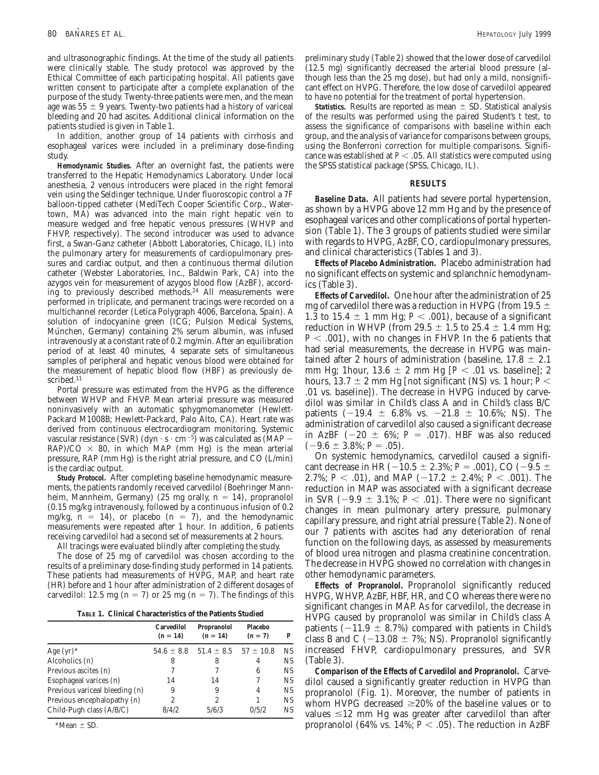and ultrasonographic findings. At the time of the study all patients were clinically stable. The study protocol was approved by the Ethical Committee of each participating hospital. All patients gave written consent to participate after a complete explanation of the purpose of the study. Twenty-three patients were men, and the mean age was  $55 \pm 9$  years. Twenty-two patients had a history of variceal bleeding and 20 had ascites. Additional clinical information on the patients studied is given in Table 1.

In addition, another group of 14 patients with cirrhosis and esophageal varices were included in a preliminary dose-finding study.

*Hemodynamic Studies.* After an overnight fast, the patients were transferred to the Hepatic Hemodynamics Laboratory. Under local anesthesia, 2 venous introducers were placed in the right femoral vein using the Seldinger technique. Under fluoroscopic control a 7F balloon-tipped catheter (MediTech Cooper Scientific Corp., Watertown, MA) was advanced into the main right hepatic vein to measure wedged and free hepatic venous pressures (WHVP and FHVP, respectively). The second introducer was used to advance first, a Swan-Ganz catheter (Abbott Laboratories, Chicago, IL) into the pulmonary artery for measurements of cardiopulmonary pressures and cardiac output, and then a continuous thermal dilution catheter (Webster Laboratories, Inc., Baldwin Park, CA) into the azygos vein for measurement of azygos blood flow (AzBF), according to previously described methods.24 All measurements were performed in triplicate, and permanent tracings were recorded on a multichannel recorder (Letica Polygraph 4006, Barcelona, Spain). A solution of indocyanine green (ICG; Pulsion Medical Systems, München, Germany) containing 2% serum albumin, was infused intravenously at a constant rate of 0.2 mg/min. After an equilibration period of at least 40 minutes, 4 separate sets of simultaneous samples of peripheral and hepatic venous blood were obtained for the measurement of hepatic blood flow (HBF) as previously described.<sup>11</sup>

Portal pressure was estimated from the HVPG as the difference between WHVP and FHVP. Mean arterial pressure was measured noninvasively with an automatic sphygmomanometer (Hewlett-Packard M1008B; Hewlett-Packard, Palo Alto, CA). Heart rate was derived from continuous electrocardiogram monitoring. Systemic vascular resistance (SVR) (dyn  $\cdot$  s  $\cdot$  cm<sup>-5</sup>) was calculated as (MAP  $RAP$ /CO  $\times$  80, in which MAP (mm Hg) is the mean arterial pressure, RAP (mm Hg) is the right atrial pressure, and CO (L/min) is the cardiac output.

*Study Protocol.* After completing baseline hemodynamic measurements, the patients randomly received carvedilol (Boehringer Mannheim, Mannheim, Germany) (25 mg orally,  $n = 14$ ), propranolol (0.15 mg/kg intravenously, followed by a continuous infusion of 0.2 mg/kg,  $n = 14$ ), or placebo ( $n = 7$ ), and the hemodynamic measurements were repeated after 1 hour. In addition, 6 patients receiving carvedilol had a second set of measurements at 2 hours.

All tracings were evaluated blindly after completing the study.

The dose of 25 mg of carvedilol was chosen according to the results of a preliminary dose-finding study performed in 14 patients. These patients had measurements of HVPG, MAP, and heart rate (HR) before and 1 hour after administration of 2 different dosages of carvedilol: 12.5 mg (n = 7) or 25 mg (n = 7). The findings of this

|  | TABLE 1. Clinical Characteristics of the Patients Studied |
|--|-----------------------------------------------------------|
|--|-----------------------------------------------------------|

|                                | Carvedilol<br>$(n = 14)$ | Propranolol<br>$(n = 14)$    | Placebo<br>$(n = 7)$ | P         |
|--------------------------------|--------------------------|------------------------------|----------------------|-----------|
| Age $(yr)^*$                   | $54.6 \pm 8.8$           | $51.4 \pm 8.5$ $57 \pm 10.8$ |                      | <b>NS</b> |
| Alcoholics (n)                 | 8                        | 8                            | 4                    | NS        |
| Previous ascites (n)           |                          | 7                            | 6                    | <b>NS</b> |
| Esophageal varices (n)         | 14                       | 14                           |                      | <b>NS</b> |
| Previous variceal bleeding (n) | 9                        | 9                            | 4                    | <b>NS</b> |
| Previous encephalopathy (n)    | 2                        | 2                            |                      | <b>NS</b> |
| Child-Pugh class (A/B/C)       | 8/4/2                    | 5/6/3                        | 0/5/2                | NS        |

 $*Mean \pm SD$ .

preliminary study (Table 2) showed that the lower dose of carvedilol (12.5 mg) significantly decreased the arterial blood pressure (although less than the 25 mg dose), but had only a mild, nonsignificant effect on HVPG. Therefore, the low dose of carvedilol appeared to have no potential for the treatment of portal hypertension.

*Statistics.* Results are reported as mean  $\pm$  SD. Statistical analysis of the results was performed using the paired Student's *t* test, to assess the significance of comparisons with baseline within each group, and the analysis of variance for comparisons between groups, using the Bonferroni correction for multiple comparisons. Significance was established at  $P < .05$ . All statistics were computed using the SPSS statistical package (SPSS, Chicago, IL).

## **RESULTS**

*Baseline Data.* All patients had severe portal hypertension, as shown by a HVPG above 12 mm Hg and by the presence of esophageal varices and other complications of portal hypertension (Table 1). The 3 groups of patients studied were similar with regards to HVPG, AzBF, CO, cardiopulmonary pressures, and clinical characteristics (Tables 1 and 3).

*Effects of Placebo Administration.* Placebo administration had no significant effects on systemic and splanchnic hemodynamics (Table 3).

*Effects of Carvedilol.* One hour after the administration of 25 mg of carvedilol there was a reduction in HVPG (from 19.5  $\pm$ 1.3 to 15.4  $\pm$  1 mm Hg; *P* < .001), because of a significant reduction in WHVP (from 29.5  $\pm$  1.5 to 25.4  $\pm$  1.4 mm Hg;  $P < .001$ ), with no changes in FHVP. In the 6 patients that had serial measurements, the decrease in HVPG was maintained after 2 hours of administration (baseline,  $17.8 \pm 2.1$ mm Hg; 1hour,  $13.6 \pm 2$  mm Hg [ $P < .01$  vs. baseline]; 2 hours,  $13.7 \pm 2$  mm Hg [not significant (NS) vs. 1 hour; *P* < .01 vs. baseline]). The decrease in HVPG induced by carvedilol was similar in Child's class A and in Child's class B/C patients  $(-19.4 \pm 6.8\% \text{ vs. } -21.8 \pm 10.6\%; \text{ NS}).$  The administration of carvedilol also caused a significant decrease in AzBF  $(-20 \pm 6\%; P = .017)$ . HBF was also reduced  $(-9.6 \pm 3.8\%; P = .05)$ .

On systemic hemodynamics, carvedilol caused a significant decrease in HR ( $-10.5 \pm 2.3\%$ ; *P* = .001), CO ( $-9.5 \pm$ 2.7%;  $P < .01$ ), and MAP (-17.2  $\pm$  2.4%;  $P < .001$ ). The reduction in MAP was associated with a significant decrease in SVR  $(-9.9 \pm 3.1\%; P < .01)$ . There were no significant changes in mean pulmonary artery pressure, pulmonary capillary pressure, and right atrial pressure (Table 2). None of our 7 patients with ascites had any deterioration of renal function on the following days, as assessed by measurements of blood urea nitrogen and plasma creatinine concentration. The decrease in HVPG showed no correlation with changes in other hemodynamic parameters.

*Effects of Propranolol.* Propranolol significantly reduced HVPG, WHVP, AzBF, HBF, HR, and CO whereas there were no significant changes in MAP. As for carvedilol, the decrease in HVPG caused by propranolol was similar in Child's class A patients  $(-11.9 \pm 8.7\%)$  compared with patients in Child's class B and C ( $-13.08 \pm 7\%$ ; NS). Propranolol significantly increased FHVP, cardiopulmonary pressures, and SVR (Table 3).

*Comparison of the Effects of Carvedilol and Propranolol.* Carvedilol caused a significantly greater reduction in HVPG than propranolol (Fig. 1). Moreover, the number of patients in whom HVPG decreased  $\geq$ 20% of the baseline values or to values  $\leq 12$  mm Hg was greater after carvedilol than after propranolol (64% vs.  $14\%$ ;  $P < .05$ ). The reduction in AzBF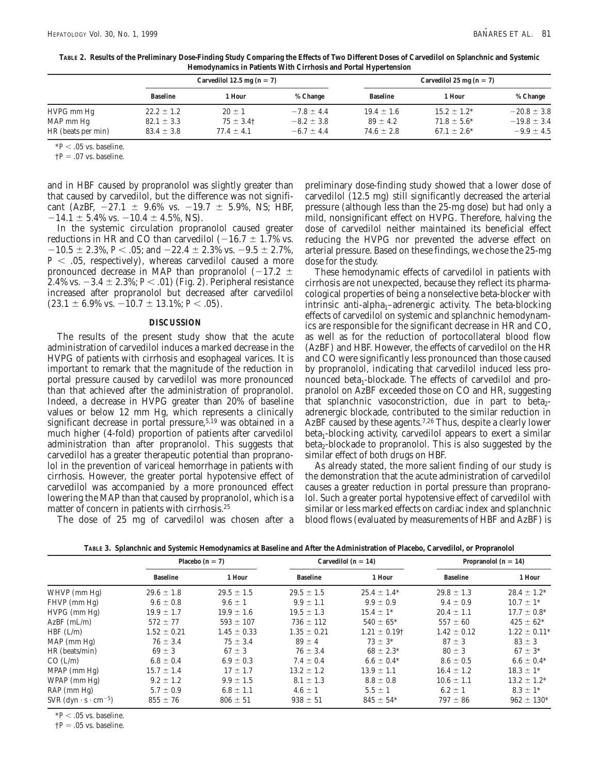| TABLE 2. Results of the Preliminary Dose-Finding Study Comparing the Effects of Two Different Doses of Carvedilol on Splanchnic and Systemic |
|----------------------------------------------------------------------------------------------------------------------------------------------|
| Hemodynamics in Patients With Cirrhosis and Portal Hypertension                                                                              |

|                    | Carvedilol 12.5 mg $(n = 7)$ |                |                |                 | Carvedilol 25 mg $(n = 7)$ |                 |  |
|--------------------|------------------------------|----------------|----------------|-----------------|----------------------------|-----------------|--|
|                    | <b>Baseline</b>              | l Hour         | % Change       | <b>Baseline</b> | 1 Hour                     | % Change        |  |
| HVPG mm Hg         | $22.2 \pm 1.2$               | $20 \pm 1$     | $-7.8 \pm 4.4$ | $19.4 \pm 1.6$  | $15.2 \pm 1.2^*$           | $-20.8 \pm 3.8$ |  |
| MAP mm Hg          | $82.1 \pm 3.3$               | $75 \pm 3.4$ † | $-8.2 \pm 3.8$ | $89 \pm 4.2$    | $71.8 \pm 5.6^*$           | $-19.8 \pm 3.4$ |  |
| HR (beats per min) | $83.4 \pm 3.8$               | $77.4 \pm 4.1$ | $-6.7 \pm 4.4$ | $74.6 \pm 2.8$  | $67.1 \pm 2.6^*$           | $-9.9 \pm 4.5$  |  |

 $*P < .05$  vs. baseline.

 $\dagger P = .07$  vs. baseline.

and in HBF caused by propranolol was slightly greater than that caused by carvedilol, but the difference was not significant (AzBF,  $-27.1 \pm 9.6\%$  vs.  $-19.7 \pm 5.9\%$ , NS; HBF,  $-14.1 \pm 5.4\%$  vs.  $-10.4 \pm 4.5\%$ , NS).

In the systemic circulation propranolol caused greater reductions in HR and CO than carvedilol  $(-16.7 \pm 1.7\%)$  vs.  $-10.5 \pm 2.3\%$ , *P* < .05; and  $-22.4 \pm 2.3\%$  vs.  $-9.5 \pm 2.7\%$ ,  $P < .05$ , respectively), whereas carvedilol caused a more pronounced decrease in MAP than propranolol ( $-17.2 \pm$ 2.4% vs.  $-3.4 \pm 2.3$ %; *P* < .01) (Fig. 2). Peripheral resistance increased after propranolol but decreased after carvedilol  $(23.1 \pm 6.9\% \text{ vs. } -10.7 \pm 13.1\%; P < .05).$ 

### **DISCUSSION**

The results of the present study show that the acute administration of carvedilol induces a marked decrease in the HVPG of patients with cirrhosis and esophageal varices. It is important to remark that the magnitude of the reduction in portal pressure caused by carvedilol was more pronounced than that achieved after the administration of propranolol. Indeed, a decrease in HVPG greater than 20% of baseline values or below 12 mm Hg, which represents a clinically significant decrease in portal pressure, $5,19$  was obtained in a much higher (4-fold) proportion of patients after carvedilol administration than after propranolol. This suggests that carvedilol has a greater therapeutic potential than propranolol in the prevention of variceal hemorrhage in patients with cirrhosis. However, the greater portal hypotensive effect of carvedilol was accompanied by a more pronounced effect lowering the MAP than that caused by propranolol, which is a matter of concern in patients with cirrhosis.<sup>25</sup>

The dose of 25 mg of carvedilol was chosen after a

preliminary dose-finding study showed that a lower dose of carvedilol (12.5 mg) still significantly decreased the arterial pressure (although less than the 25-mg dose) but had only a mild, nonsignificant effect on HVPG. Therefore, halving the dose of carvedilol neither maintained its beneficial effect reducing the HVPG nor prevented the adverse effect on arterial pressure. Based on these findings, we chose the 25-mg dose for the study.

These hemodynamic effects of carvedilol in patients with cirrhosis are not unexpected, because they reflect its pharmacological properties of being a nonselective beta-blocker with  $intrinsic$  anti-alpha<sub>1</sub>–adrenergic activity. The beta-blocking effects of carvedilol on systemic and splanchnic hemodynamics are responsible for the significant decrease in HR and CO, as well as for the reduction of portocollateral blood flow (AzBF) and HBF. However, the effects of carvedilol on the HR and CO were significantly less pronounced than those caused by propranolol, indicating that carvedilol induced less pronounced beta<sub>1</sub>-blockade. The effects of carvedilol and propranolol on AzBF exceeded those on CO and HR, suggesting that splanchnic vasoconstriction, due in part to beta<sub>2</sub>adrenergic blockade, contributed to the similar reduction in AzBF caused by these agents.<sup>7,26</sup> Thus, despite a clearly lower  $beta_1$ -blocking activity, carvedilol appears to exert a similar  $beta_2$ -blockade to propranolol. This is also suggested by the similar effect of both drugs on HBF.

As already stated, the more salient finding of our study is the demonstration that the acute administration of carvedilol causes a greater reduction in portal pressure than propranolol. Such a greater portal hypotensive effect of carvedilol with similar or less marked effects on cardiac index and splanchnic blood flows (evaluated by measurements of HBF and AzBF) is

|                                                        | Placebo $(n = 7)$ |                 | Carvedilol ( $n = 14$ ) |                              | Propranolol ( $n = 14$ ) |                  |
|--------------------------------------------------------|-------------------|-----------------|-------------------------|------------------------------|--------------------------|------------------|
|                                                        | <b>Baseline</b>   | 1 Hour          | <b>Baseline</b>         | 1 Hour                       | <b>Baseline</b>          | 1 Hour           |
| WHVP (mm Hg)                                           | $29.6 \pm 1.8$    | $29.5 \pm 1.5$  | $29.5 \pm 1.5$          | $25.4 \pm 1.4^*$             | $29.8 \pm 1.3$           | $28.4 \pm 1.2^*$ |
| FHVP (mm Hg)                                           | $9.6 \pm 0.8$     | $9.6 \pm 1$     | $9.9 \pm 1.1$           | $9.9 \pm 0.9$                | $9.4 \pm 0.9$            | $10.7 \pm 1^*$   |
| $HVPG$ (mm $Hg$ )                                      | $19.9 \pm 1.7$    | $19.9 \pm 1.6$  | $19.5 \pm 1.3$          | $15.4 \pm 1^*$               | $20.4 \pm 1.1$           | $17.7 \pm 0.8^*$ |
| $AzBF$ (mL/m)                                          | $572 \pm 77$      | $593 \pm 107$   | $736 \pm 112$           | $540 \pm 65^*$               | $557 \pm 60$             | $425 \pm 62^*$   |
| $HBF$ (L/m)                                            | $1.52 \pm 0.21$   | $1.45 \pm 0.33$ | $1.35 \pm 0.21$         | $1.21 \pm 0.19$ <sup>†</sup> | $1.42 \pm 0.12$          | $1.22 \pm 0.11*$ |
| $MAP$ (mm $Hg$ )                                       | $76 \pm 3.4$      | $75 \pm 3.4$    | $89 \pm 4$              | $73 \pm 3^*$                 | $87 \pm 3$               | $83 \pm 3$       |
| HR (beats/min)                                         | $69 \pm 3$        | $67 \pm 3$      | $76 \pm 3.4$            | $68 \pm 2.3^*$               | $80 \pm 3$               | $67 \pm 3*$      |
| CO (L/m)                                               | $6.8 \pm 0.4$     | $6.9 \pm 0.3$   | $7.4 \pm 0.4$           | $6.6 \pm 0.4*$               | $8.6 \pm 0.5$            | $6.6 \pm 0.4*$   |
| $MPAP$ (mm $Hg$ )                                      | $15.7 \pm 1.4$    | $17 \pm 1.7$    | $13.2 \pm 1.2$          | $13.9 \pm 1.1$               | $16.4 \pm 1.2$           | $18.3 \pm 1^*$   |
| $WPAP$ (mm $Hg$ )                                      | $9.2 \pm 1.2$     | $9.9 \pm 1.5$   | $8.1 \pm 1.3$           | $8.8 \pm 0.8$                | $10.6 \pm 1.1$           | $13.2 \pm 1.2^*$ |
| $RAP$ (mm $Hg$ )                                       | $5.7 \pm 0.9$     | $6.8 \pm 1.1$   | $4.6 \pm 1$             | $5.5 \pm 1$                  | $6.2 \pm 1$              | $8.3 \pm 1*$     |
| SVR $(\text{dyn} \cdot \text{s} \cdot \text{cm}^{-5})$ | $855 \pm 76$      | $806 \pm 51$    | $938 \pm 51$            | $845 \pm 54*$                | $797 \pm 86$             | $962 \pm 130*$   |

**TABLE 3. Splanchnic and Systemic Hemodynamics at Baseline and After the Administration of Placebo, Carvedilol, or Propranolol**

 $*P < .05$  vs. baseline.

 $\dagger P = .05$  vs. baseline.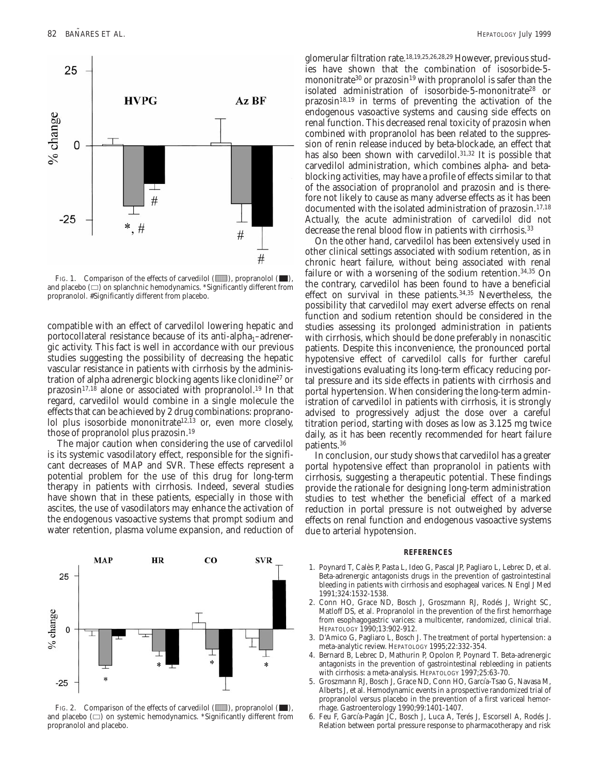

FIG. 1. Comparison of the effects of carvedilol  $(\blacksquare)$ , propranolol  $(\blacksquare)$ , and placebo  $(\square)$  on splanchnic hemodynamics. \*Significantly different from propranolol. #Significantly different from placebo.

compatible with an effect of carvedilol lowering hepatic and portocollateral resistance because of its anti-alpha<sub>1</sub>–adrenergic activity. This fact is well in accordance with our previous studies suggesting the possibility of decreasing the hepatic vascular resistance in patients with cirrhosis by the administration of alpha adrenergic blocking agents like clonidine27 or  $prazosin<sup>17,18</sup>$  alone or associated with propranolol.<sup>19</sup> In that regard, carvedilol would combine in a single molecule the effects that can be achieved by 2 drug combinations: propranolol plus isosorbide mononitrate<sup>12,13</sup> or, even more closely, those of propranolol plus prazosin.19

The major caution when considering the use of carvedilol is its systemic vasodilatory effect, responsible for the significant decreases of MAP and SVR. These effects represent a potential problem for the use of this drug for long-term therapy in patients with cirrhosis. Indeed, several studies have shown that in these patients, especially in those with ascites, the use of vasodilators may enhance the activation of the endogenous vasoactive systems that prompt sodium and water retention, plasma volume expansion, and reduction of



FIG. 2. Comparison of the effects of carvedilol  $(\blacksquare)$ , propranolol  $(\blacksquare)$ , and placebo  $(\square)$  on systemic hemodynamics. \*Significantly different from propranolol and placebo.

glomerular filtration rate.18,19,25,26,28,29 However, previous studies have shown that the combination of isosorbide-5 mononitrate<sup>30</sup> or prazosin<sup>19</sup> with propranolol is safer than the isolated administration of isosorbide-5-mononitrate<sup>28</sup> or  $prazosin<sup>18,19</sup>$  in terms of preventing the activation of the endogenous vasoactive systems and causing side effects on renal function. This decreased renal toxicity of prazosin when combined with propranolol has been related to the suppression of renin release induced by beta-blockade, an effect that has also been shown with carvedilol.<sup>31,32</sup> It is possible that carvedilol administration, which combines alpha- and betablocking activities, may have a profile of effects similar to that of the association of propranolol and prazosin and is therefore not likely to cause as many adverse effects as it has been documented with the isolated administration of prazosin.<sup>17,18</sup> Actually, the acute administration of carvedilol did not decrease the renal blood flow in patients with cirrhosis.<sup>33</sup>

On the other hand, carvedilol has been extensively used in other clinical settings associated with sodium retention, as in chronic heart failure, without being associated with renal failure or with a worsening of the sodium retention.<sup>34,35</sup> On the contrary, carvedilol has been found to have a beneficial effect on survival in these patients.34,35 Nevertheless, the possibility that carvedilol may exert adverse effects on renal function and sodium retention should be considered in the studies assessing its prolonged administration in patients with cirrhosis, which should be done preferably in nonascitic patients. Despite this inconvenience, the pronounced portal hypotensive effect of carvedilol calls for further careful investigations evaluating its long-term efficacy reducing portal pressure and its side effects in patients with cirrhosis and portal hypertension. When considering the long-term administration of carvedilol in patients with cirrhosis, it is strongly advised to progressively adjust the dose over a careful titration period, starting with doses as low as 3.125 mg twice daily, as it has been recently recommended for heart failure patients.36

In conclusion, our study shows that carvedilol has a greater portal hypotensive effect than propranolol in patients with cirrhosis, suggesting a therapeutic potential. These findings provide the rationale for designing long-term administration studies to test whether the beneficial effect of a marked reduction in portal pressure is not outweighed by adverse effects on renal function and endogenous vasoactive systems due to arterial hypotension.

### **REFERENCES**

- 1. Poynard T, Calès P, Pasta L, Ideo G, Pascal JP, Pagliaro L, Lebrec D, et al. Beta-adrenergic antagonists drugs in the prevention of gastrointestinal bleeding in patients with cirrhosis and esophageal varices. N Engl J Med 1991;324:1532-1538.
- 2. Conn HO, Grace ND, Bosch J, Groszmann RJ, Rodés J, Wright SC, Matloff DS, et al. Propranolol in the prevention of the first hemorrhage from esophagogastric varices: a multicenter, randomized, clinical trial. HEPATOLOGY 1990;13:902-912.
- 3. D'Amico G, Pagliaro L, Bosch J. The treatment of portal hypertension: a meta-analytic review. HEPATOLOGY 1995;22:332-354.
- 4. Bernard B, Lebrec D, Mathurin P, Opolon P, Poynard T. Beta-adrenergic antagonists in the prevention of gastrointestinal rebleeding in patients with cirrhosis: a meta-analysis. HEPATOLOGY 1997;25:63-70.
- 5. Groszmann RJ, Bosch J, Grace ND, Conn HO, García-Tsao G, Navasa M, Alberts J, et al. Hemodynamic events in a prospective randomized trial of propranolol versus placebo in the prevention of a first variceal hemorrhage. Gastroenterology 1990;99:1401-1407.
- 6. Feu F, García-Pagán JC, Bosch J, Luca A, Terés J, Escorsell A, Rodés J. Relation between portal pressure response to pharmacotherapy and risk